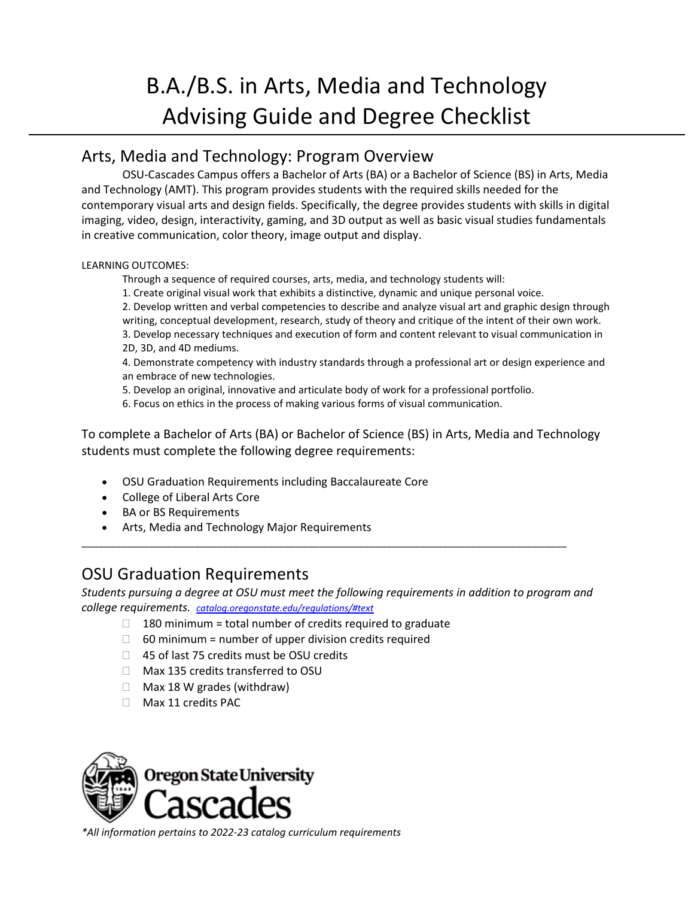# B.A./B.S. in Arts, Media and Technology Advising Guide and Degree Checklist

### Arts, Media and Technology: Program Overview

OSU-Cascades Campus offers a Bachelor of Arts (BA) or a Bachelor of Science (BS) in Arts, Media and Technology (AMT). This program provides students with the required skills needed for the contemporary visual arts and design fields. Specifically, the degree provides students with skills in digital imaging, video, design, interactivity, gaming, and 3D output as well as basic visual studies fundamentals in creative communication, color theory, image output and display.

#### LEARNING OUTCOMES:

Through a sequence of required courses, arts, media, and technology students will:

1. Create original visual work that exhibits a distinctive, dynamic and unique personal voice.

2. Develop written and verbal competencies to describe and analyze visual art and graphic design through writing, conceptual development, research, study of theory and critique of the intent of their own work. 3. Develop necessary techniques and execution of form and content relevant to visual communication in 2D, 3D, and 4D mediums.

4. Demonstrate competency with industry standards through a professional art or design experience and an embrace of new technologies.

5. Develop an original, innovative and articulate body of work for a professional portfolio.

6. Focus on ethics in the process of making various forms of visual communication.

To complete a Bachelor of Arts (BA) or Bachelor of Science (BS) in Arts, Media and Technology students must complete the following degree requirements:

- OSU Graduation Requirements including Baccalaureate Core
- College of Liberal Arts Core
- BA or BS Requirements
- Arts, Media and Technology Major Requirements

#### OSU Graduation Requirements

*Students pursuing a degree at OSU must meet the following requirements in addition to program and college requirements. catalog.oregonstate.edu/regulations/#text*

\_\_\_\_\_\_\_\_\_\_\_\_\_\_\_\_\_\_\_\_\_\_\_\_\_\_\_\_\_\_\_\_\_\_\_\_\_\_\_\_\_\_\_\_\_\_\_\_\_\_\_\_\_\_\_\_\_\_\_\_\_\_\_\_\_\_\_\_\_\_\_\_\_\_\_\_\_\_\_\_\_\_\_\_\_\_

- $\Box$  180 minimum = total number of credits required to graduate
- $\Box$  60 minimum = number of upper division credits required
- □ 45 of last 75 credits must be OSU credits
- □ Max 135 credits transferred to OSU
- $\Box$  Max 18 W grades (withdraw)
- Max 11 credits PAC



*\*All information pertains to 2022-23 catalog curriculum requirements*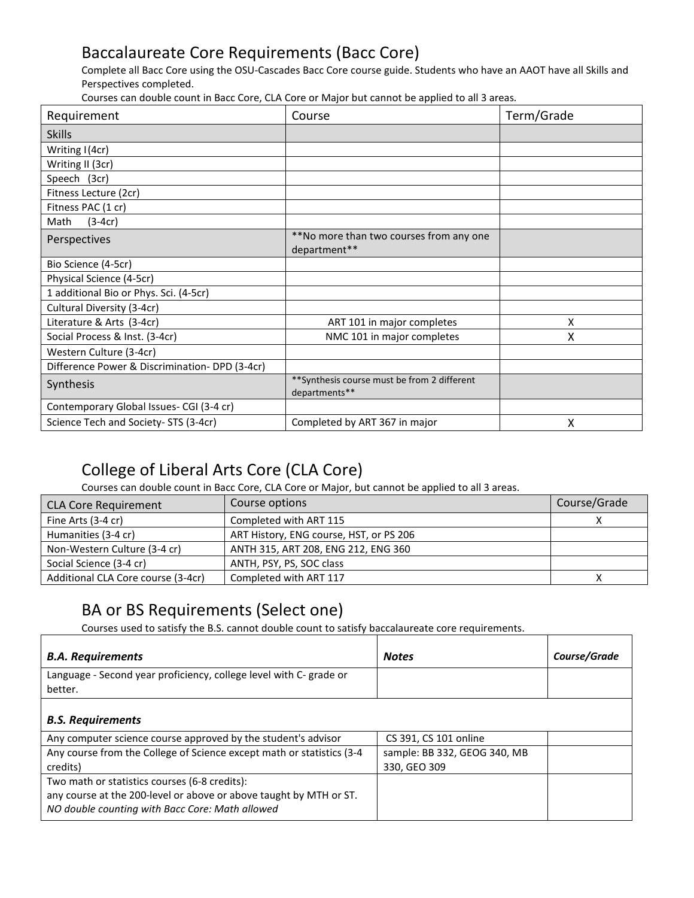## Baccalaureate Core Requirements (Bacc Core)

Complete all Bacc Core using the OSU-Cascades Bacc Core course guide. Students who have an AAOT have all Skills and Perspectives completed.

Courses can double count in Bacc Core, CLA Core or Major but cannot be applied to all 3 areas*.*

| Requirement                                   | Course                                                        | Term/Grade |
|-----------------------------------------------|---------------------------------------------------------------|------------|
| <b>Skills</b>                                 |                                                               |            |
| Writing I(4cr)                                |                                                               |            |
| Writing II (3cr)                              |                                                               |            |
| Speech (3cr)                                  |                                                               |            |
| Fitness Lecture (2cr)                         |                                                               |            |
| Fitness PAC (1 cr)                            |                                                               |            |
| $(3-4cr)$<br>Math                             |                                                               |            |
| Perspectives                                  | **No more than two courses from any one                       |            |
|                                               | department**                                                  |            |
| Bio Science (4-5cr)                           |                                                               |            |
| Physical Science (4-5cr)                      |                                                               |            |
| 1 additional Bio or Phys. Sci. (4-5cr)        |                                                               |            |
| Cultural Diversity (3-4cr)                    |                                                               |            |
| Literature & Arts (3-4cr)                     | ART 101 in major completes                                    | x          |
| Social Process & Inst. (3-4cr)                | NMC 101 in major completes                                    | x          |
| Western Culture (3-4cr)                       |                                                               |            |
| Difference Power & Discrimination-DPD (3-4cr) |                                                               |            |
| Synthesis                                     | ** Synthesis course must be from 2 different<br>departments** |            |
| Contemporary Global Issues- CGI (3-4 cr)      |                                                               |            |
| Science Tech and Society- STS (3-4cr)         | Completed by ART 367 in major                                 | Χ          |

### College of Liberal Arts Core (CLA Core)

Courses can double count in Bacc Core, CLA Core or Major, but cannot be applied to all 3 areas.

| <b>CLA Core Requirement</b>        | Course options                          | Course/Grade |
|------------------------------------|-----------------------------------------|--------------|
| Fine Arts (3-4 cr)                 | Completed with ART 115                  |              |
| Humanities (3-4 cr)                | ART History, ENG course, HST, or PS 206 |              |
| Non-Western Culture (3-4 cr)       | ANTH 315, ART 208, ENG 212, ENG 360     |              |
| Social Science (3-4 cr)            | ANTH, PSY, PS, SOC class                |              |
| Additional CLA Core course (3-4cr) | Completed with ART 117                  |              |

#### BA or BS Requirements (Select one)

Courses used to satisfy the B.S. cannot double count to satisfy baccalaureate core requirements.

| <b>B.A. Requirements</b>                                                                                                                                               | <b>Notes</b>                                 | Course/Grade |
|------------------------------------------------------------------------------------------------------------------------------------------------------------------------|----------------------------------------------|--------------|
| Language - Second year proficiency, college level with C- grade or<br>better.                                                                                          |                                              |              |
| <b>B.S. Requirements</b>                                                                                                                                               |                                              |              |
| Any computer science course approved by the student's advisor                                                                                                          | CS 391, CS 101 online                        |              |
| Any course from the College of Science except math or statistics (3-4<br>credits)                                                                                      | sample: BB 332, GEOG 340, MB<br>330, GEO 309 |              |
| Two math or statistics courses (6-8 credits):<br>any course at the 200-level or above or above taught by MTH or ST.<br>NO double counting with Bacc Core: Math allowed |                                              |              |